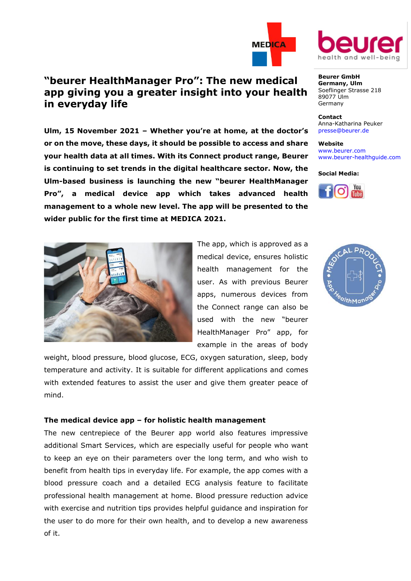

## **"beurer HealthManager Pro": The new medical app giving you a greater insight into your health in everyday life**

**Ulm, 15 November 2021 – Whether you're at home, at the doctor's or on the move, these days, it should be possible to access and share your health data at all times. With its Connect product range, Beurer is continuing to set trends in the digital healthcare sector. Now, the Ulm-based business is launching the new "beurer HealthManager Pro", a medical device app which takes advanced health management to a whole new level. The app will be presented to the wider public for the first time at MEDICA 2021.**



**Beurer GmbH Germany, Ulm** Soeflinger Strasse 218 89077 Ulm Germany

**Contact** Anna-Katharina Peuker [presse@beurer.de](mailto:presse@beurer.de)

**Website** [www.beurer.com](http://www.beurer.com/) [www.beurer-healthguide.com](http://www.beurer-healthguide.com/)







The app, which is approved as a medical device, ensures holistic health management for the user. As with previous Beurer apps, numerous devices from the Connect range can also be used with the new "beurer HealthManager Pro" app, for example in the areas of body

weight, blood pressure, blood glucose, ECG, oxygen saturation, sleep, body temperature and activity. It is suitable for different applications and comes with extended features to assist the user and give them greater peace of mind.

## **The medical device app – for holistic health management**

The new centrepiece of the Beurer app world also features impressive additional Smart Services, which are especially useful for people who want to keep an eye on their parameters over the long term, and who wish to benefit from health tips in everyday life. For example, the app comes with a blood pressure coach and a detailed ECG analysis feature to facilitate professional health management at home. Blood pressure reduction advice with exercise and nutrition tips provides helpful guidance and inspiration for the user to do more for their own health, and to develop a new awareness of it.

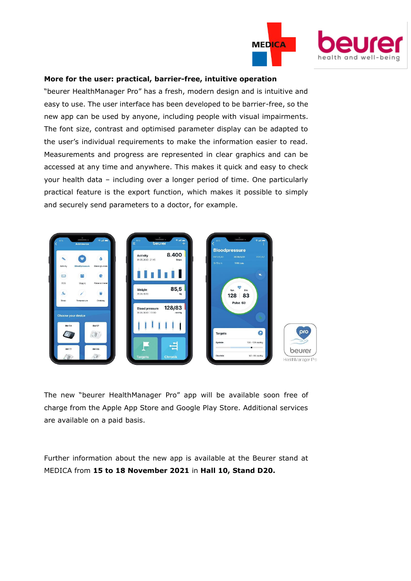

## **More for the user: practical, barrier-free, intuitive operation**

"beurer HealthManager Pro" has a fresh, modern design and is intuitive and easy to use. The user interface has been developed to be barrier-free, so the new app can be used by anyone, including people with visual impairments. The font size, contrast and optimised parameter display can be adapted to the user's individual requirements to make the information easier to read. Measurements and progress are represented in clear graphics and can be accessed at any time and anywhere. This makes it quick and easy to check your health data – including over a longer period of time. One particularly practical feature is the export function, which makes it possible to simply and securely send parameters to a doctor, for example.



The new "beurer HealthManager Pro" app will be available soon free of charge from the Apple App Store and Google Play Store. Additional services are available on a paid basis.

Further information about the new app is available at the Beurer stand at MEDICA from **15 to 18 November 2021** in **Hall 10, Stand D20.**